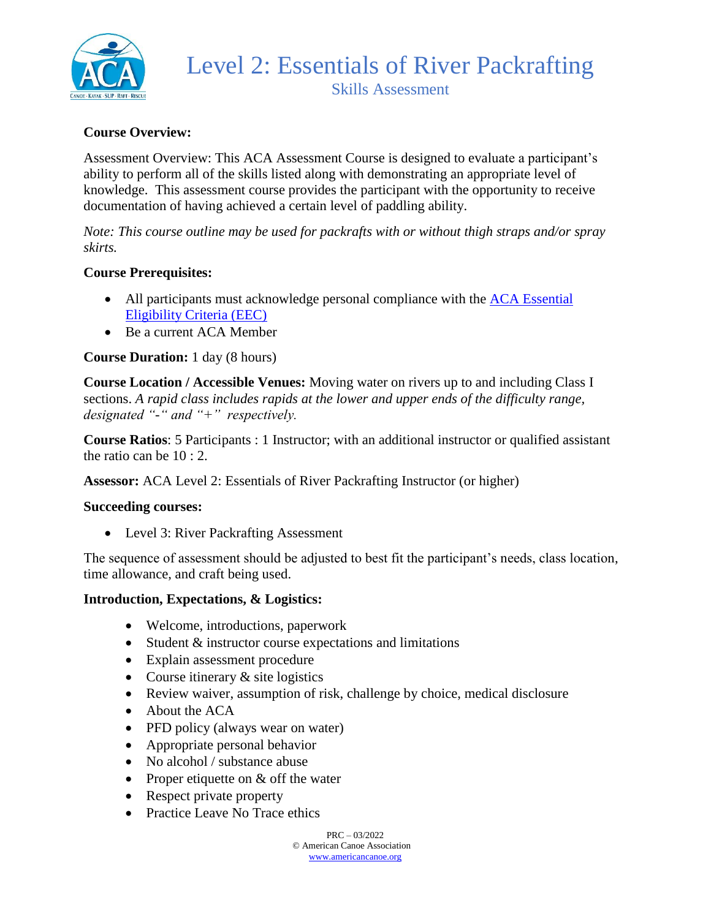

## **Course Overview:**

Assessment Overview: This ACA Assessment Course is designed to evaluate a participant's ability to perform all of the skills listed along with demonstrating an appropriate level of knowledge. This assessment course provides the participant with the opportunity to receive documentation of having achieved a certain level of paddling ability.

*Note: This course outline may be used for packrafts with or without thigh straps and/or spray skirts.*

#### **Course Prerequisites:**

- All participants must acknowledge personal compliance with the ACA Essential [Eligibility Criteria \(EEC\)](https://americancanoe.org/essential-eligibility-criteria/)
- Be a current ACA Member

### **Course Duration:** 1 day (8 hours)

**Course Location / Accessible Venues:** Moving water on rivers up to and including Class I sections. *A rapid class includes rapids at the lower and upper ends of the difficulty range, designated "-" and "+" respectively.*

**Course Ratios**: 5 Participants : 1 Instructor; with an additional instructor or qualified assistant the ratio can be 10 : 2.

**Assessor:** ACA Level 2: Essentials of River Packrafting Instructor (or higher)

#### **Succeeding courses:**

• Level 3: River Packrafting Assessment

The sequence of assessment should be adjusted to best fit the participant's needs, class location, time allowance, and craft being used.

#### **Introduction, Expectations, & Logistics:**

- Welcome, introductions, paperwork
- Student & instructor course expectations and limitations
- Explain assessment procedure
- Course itinerary  $&$  site logistics
- Review waiver, assumption of risk, challenge by choice, medical disclosure
- About the ACA
- PFD policy (always wear on water)
- Appropriate personal behavior
- No alcohol / substance abuse
- Proper etiquette on & off the water
- Respect private property
- Practice Leave No Trace ethics

 $PRC = 03/2022$ © American Canoe Association [www.americancanoe.org](http://www.americancanoe.org/)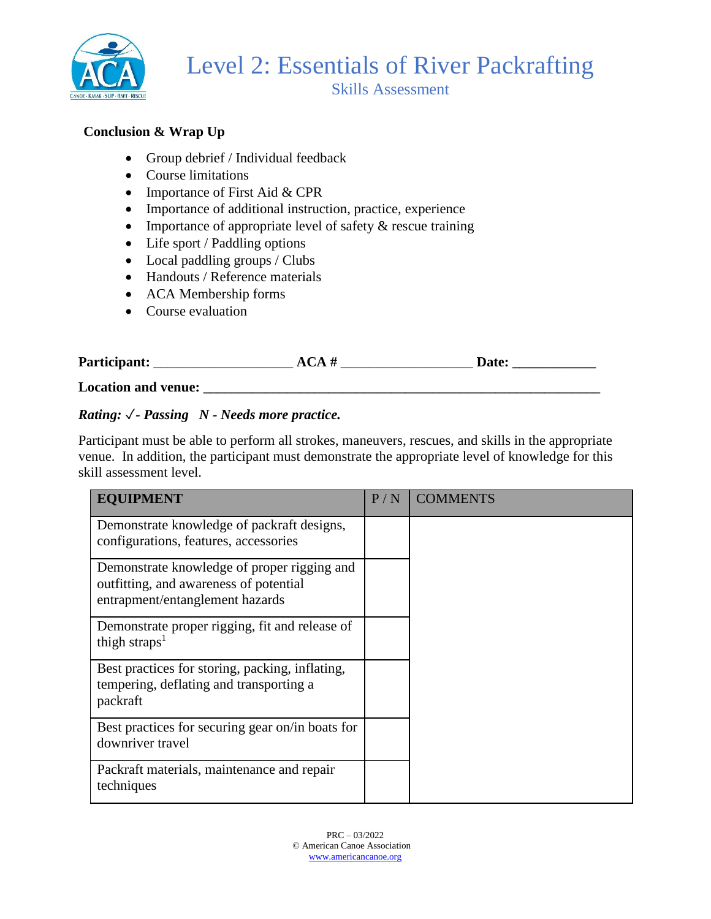

## **Conclusion & Wrap Up**

- Group debrief / Individual feedback
- Course limitations
- Importance of First Aid & CPR
- Importance of additional instruction, practice, experience
- Importance of appropriate level of safety  $\&$  rescue training
- Life sport / Paddling options
- Local paddling groups / Clubs
- Handouts / Reference materials
- ACA Membership forms
- Course evaluation

| Participant:        | ACA# | <b>Date:</b> |
|---------------------|------|--------------|
| Location and venue: |      |              |

## *Rating:* ✓*- Passing N - Needs more practice.*

Participant must be able to perform all strokes, maneuvers, rescues, and skills in the appropriate venue. In addition, the participant must demonstrate the appropriate level of knowledge for this skill assessment level.

| <b>EQUIPMENT</b>                                                                                                         | P/N | <b>COMMENTS</b> |
|--------------------------------------------------------------------------------------------------------------------------|-----|-----------------|
| Demonstrate knowledge of packraft designs,<br>configurations, features, accessories                                      |     |                 |
| Demonstrate knowledge of proper rigging and<br>outfitting, and awareness of potential<br>entrapment/entanglement hazards |     |                 |
| Demonstrate proper rigging, fit and release of<br>thigh straps <sup>1</sup>                                              |     |                 |
| Best practices for storing, packing, inflating,<br>tempering, deflating and transporting a<br>packraft                   |     |                 |
| Best practices for securing gear on/in boats for<br>downriver travel                                                     |     |                 |
| Packraft materials, maintenance and repair<br>techniques                                                                 |     |                 |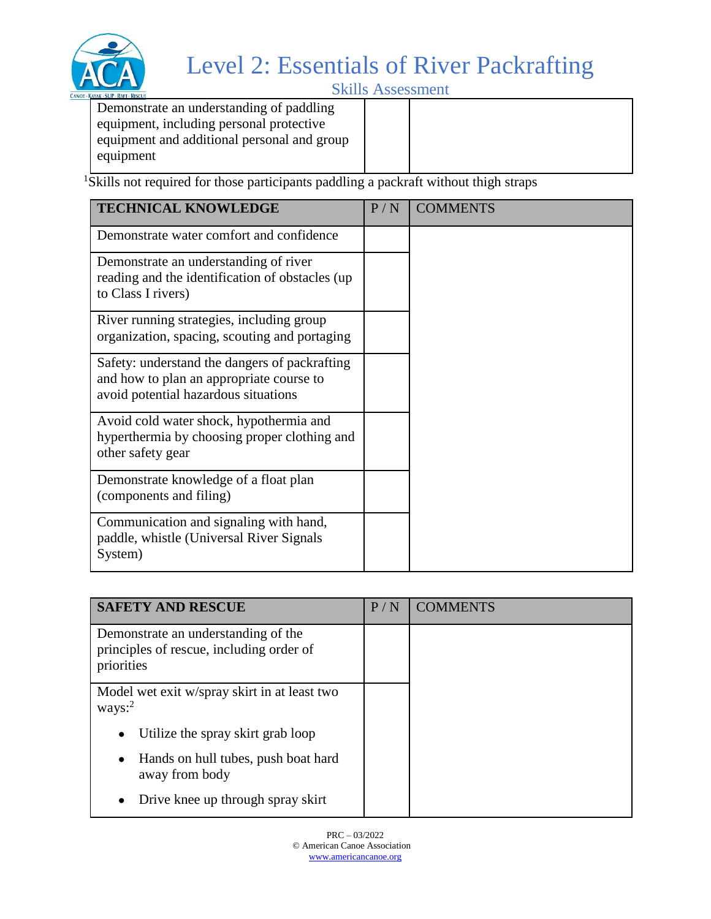

## Level 2: Essentials of River Packrafting

Skills Assessment

Demonstrate an understanding of paddling equipment, including personal protective equipment and additional personal and group equipment

<sup>1</sup>Skills not required for those participants paddling a packraft without thigh straps

| <b>TECHNICAL KNOWLEDGE</b>                                                                                                        | P/N | <b>COMMENTS</b> |
|-----------------------------------------------------------------------------------------------------------------------------------|-----|-----------------|
| Demonstrate water comfort and confidence                                                                                          |     |                 |
| Demonstrate an understanding of river<br>reading and the identification of obstacles (up<br>to Class I rivers)                    |     |                 |
| River running strategies, including group<br>organization, spacing, scouting and portaging                                        |     |                 |
| Safety: understand the dangers of packrafting<br>and how to plan an appropriate course to<br>avoid potential hazardous situations |     |                 |
| Avoid cold water shock, hypothermia and<br>hyperthermia by choosing proper clothing and<br>other safety gear                      |     |                 |
| Demonstrate knowledge of a float plan<br>(components and filing)                                                                  |     |                 |
| Communication and signaling with hand,<br>paddle, whistle (Universal River Signals<br>System)                                     |     |                 |

| <b>SAFETY AND RESCUE</b>                                                                      | P/N | <b>COMMENTS</b> |
|-----------------------------------------------------------------------------------------------|-----|-----------------|
| Demonstrate an understanding of the<br>principles of rescue, including order of<br>priorities |     |                 |
| Model wet exit w/spray skirt in at least two<br>ways: <sup>2</sup>                            |     |                 |
| Utilize the spray skirt grab loop                                                             |     |                 |
| Hands on hull tubes, push boat hard<br>away from body                                         |     |                 |
| Drive knee up through spray skirt                                                             |     |                 |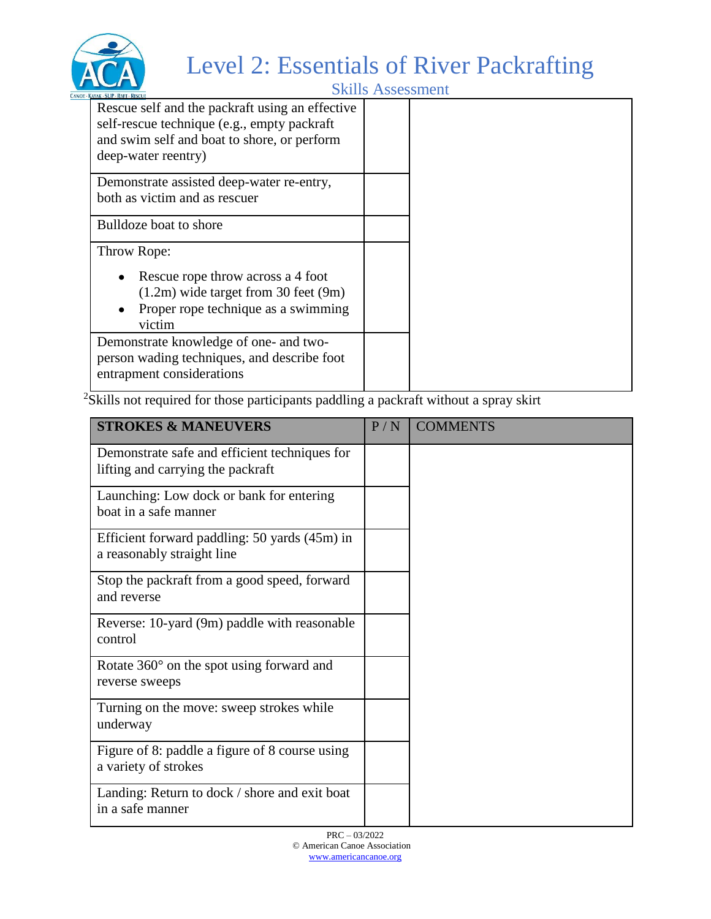

## Level 2: Essentials of River Packrafting

Skills Assessment

| KAYAK - SUP - KAFI - KESCUE                                                                                                                                          |  |
|----------------------------------------------------------------------------------------------------------------------------------------------------------------------|--|
| Rescue self and the packraft using an effective<br>self-rescue technique (e.g., empty packraft<br>and swim self and boat to shore, or perform<br>deep-water reentry) |  |
| Demonstrate assisted deep-water re-entry,                                                                                                                            |  |
| both as victim and as rescuer                                                                                                                                        |  |
|                                                                                                                                                                      |  |
| Bulldoze boat to shore                                                                                                                                               |  |
|                                                                                                                                                                      |  |
| Throw Rope:                                                                                                                                                          |  |
| Rescue rope throw across a 4 foot                                                                                                                                    |  |
|                                                                                                                                                                      |  |
| $(1.2m)$ wide target from 30 feet $(9m)$                                                                                                                             |  |
| Proper rope technique as a swimming                                                                                                                                  |  |
| victim                                                                                                                                                               |  |
| Demonstrate knowledge of one- and two-                                                                                                                               |  |
| person wading techniques, and describe foot                                                                                                                          |  |
|                                                                                                                                                                      |  |
| entrapment considerations                                                                                                                                            |  |
|                                                                                                                                                                      |  |

<sup>2</sup>Skills not required for those participants paddling a packraft without a spray skirt

| <b>STROKES &amp; MANEUVERS</b>                                                     | P/N | <b>COMMENTS</b> |
|------------------------------------------------------------------------------------|-----|-----------------|
| Demonstrate safe and efficient techniques for<br>lifting and carrying the packraft |     |                 |
| Launching: Low dock or bank for entering<br>boat in a safe manner                  |     |                 |
| Efficient forward paddling: 50 yards (45m) in<br>a reasonably straight line        |     |                 |
| Stop the packraft from a good speed, forward<br>and reverse                        |     |                 |
| Reverse: 10-yard (9m) paddle with reasonable<br>control                            |     |                 |
| Rotate 360° on the spot using forward and<br>reverse sweeps                        |     |                 |
| Turning on the move: sweep strokes while<br>underway                               |     |                 |
| Figure of 8: paddle a figure of 8 course using<br>a variety of strokes             |     |                 |
| Landing: Return to dock / shore and exit boat<br>in a safe manner                  |     |                 |